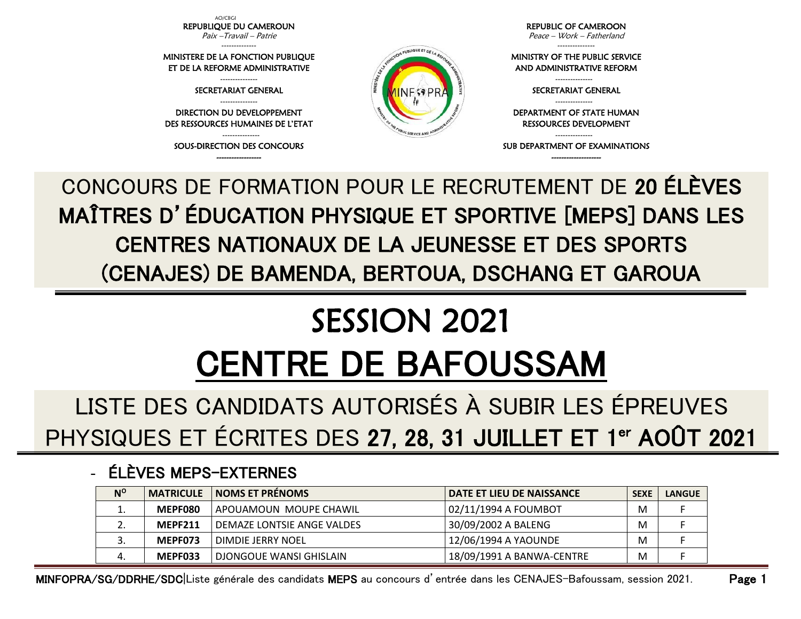AO/CBGI REPUBLIQUE DU CAMEROUN Paix –Travail – Patrie

-------------- MINISTERE DE LA FONCTION PUBLIQUE ET DE LA REFORME ADMINISTRATIVE --------------- SECRETARIAT GENERAL --------------- DIRECTION DU DEVELOPPEMENT DES RESSOURCES HUMAINES DE L'ETAT --------------- SOUS-DIRECTION DES CONCOURS ------------------

REPUBLIC OF CAMEROON

Peace – Work – Fatherland ---------------

MINISTRY OF THE PUBLIC SERVICE AND ADMINISTRATIVE REFORM

> --------------- SECRETARIAT GENERAL ---------------

DEPARTMENT OF STATE HUMAN RESSOURCES DEVELOPMENT

--------------- SUB DEPARTMENT OF EXAMINATIONS --------------------

CONCOURS DE FORMATION POUR LE RECRUTEMENT DE 20 ÉLÈVES MAÎTRES D'ÉDUCATION PHYSIQUE ET SPORTIVE [MEPS] DANS LES CENTRES NATIONAUX DE LA JEUNESSE ET DES SPORTS (CENAJES) DE BAMENDA, BERTOUA, DSCHANG ET GAROUA

PUBLIQUE ET DEL

**NFSPF** 

## SESSION 2021 CENTRE DE BAFOUSSAM

LISTE DES CANDIDATS AUTORISÉS À SUBIR LES ÉPREUVES PHYSIQUES ET ÉCRITES DES 27, 28, 31 JUILLET ET 1<sup>er</sup> AOÛT 2021

## - ÉLÈVES MEPS-EXTERNES

| $N^{\circ}$ | <b>MATRICULE</b> | <b>NOMS ET PRÉNOMS</b>     | <b>DATE ET LIEU DE NAISSANCE</b> | <b>SEXE</b> | <b>LANGUE</b> |
|-------------|------------------|----------------------------|----------------------------------|-------------|---------------|
| ∸.          | MEPF080          | APOUAMOUN MOUPE CHAWIL     | 02/11/1994 A FOUMBOT             | M           |               |
| ـ.          | <b>MEPF211</b>   | DEMAZE LONTSIE ANGE VALDES | 30/09/2002 A BALENG              | M           |               |
|             | MEPF073          | DIMDIE JERRY NOEL          | 12/06/1994 A YAOUNDE             | M           |               |
|             | MEPF033          | DJONGOUE WANSI GHISLAIN    | 18/09/1991 A BANWA-CENTRE        | M           |               |

MINFOPRA/SG/DDRHE/SDC|Liste générale des candidats MEPS au concours d'entrée dans les CENAJES-Bafoussam, session 2021. Page 1